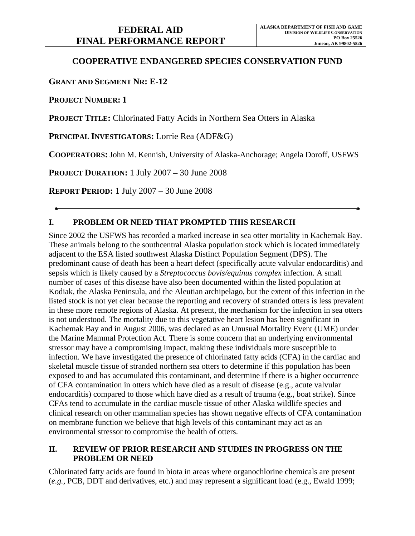# **COOPERATIVE ENDANGERED SPECIES CONSERVATION FUND**

## **GRANT AND SEGMENT NR: E-12**

**PROJECT NUMBER: 1** 

**PROJECT TITLE:** Chlorinated Fatty Acids in Northern Sea Otters in Alaska

**PRINCIPAL INVESTIGATORS:** Lorrie Rea (ADF&G)

**COOPERATORS:** John M. Kennish, University of Alaska-Anchorage; Angela Doroff, USFWS

**PROJECT DURATION:** 1 July 2007 – 30 June 2008

**REPORT PERIOD:** 1 July 2007 – 30 June 2008

## **I. PROBLEM OR NEED THAT PROMPTED THIS RESEARCH**

Since 2002 the USFWS has recorded a marked increase in sea otter mortality in Kachemak Bay. These animals belong to the southcentral Alaska population stock which is located immediately adjacent to the ESA listed southwest Alaska Distinct Population Segment (DPS). The predominant cause of death has been a heart defect (specifically acute valvular endocarditis) and sepsis which is likely caused by a *Streptococcus bovis/equinus complex* infection. A small number of cases of this disease have also been documented within the listed population at Kodiak, the Alaska Peninsula, and the Aleutian archipelago, but the extent of this infection in the listed stock is not yet clear because the reporting and recovery of stranded otters is less prevalent in these more remote regions of Alaska. At present, the mechanism for the infection in sea otters is not understood. The mortality due to this vegetative heart lesion has been significant in Kachemak Bay and in August 2006, was declared as an Unusual Mortality Event (UME) under the Marine Mammal Protection Act. There is some concern that an underlying environmental stressor may have a compromising impact, making these individuals more susceptible to infection. We have investigated the presence of chlorinated fatty acids (CFA) in the cardiac and skeletal muscle tissue of stranded northern sea otters to determine if this population has been exposed to and has accumulated this contaminant, and determine if there is a higher occurrence of CFA contamination in otters which have died as a result of disease (e.g., acute valvular endocarditis) compared to those which have died as a result of trauma (e.g., boat strike). Since CFAs tend to accumulate in the cardiac muscle tissue of other Alaska wildlife species and clinical research on other mammalian species has shown negative effects of CFA contamination on membrane function we believe that high levels of this contaminant may act as an environmental stressor to compromise the health of otters.

## **II. REVIEW OF PRIOR RESEARCH AND STUDIES IN PROGRESS ON THE PROBLEM OR NEED**

Chlorinated fatty acids are found in biota in areas where organochlorine chemicals are present (*e.g.,* PCB, DDT and derivatives, etc.) and may represent a significant load (e.g., Ewald 1999;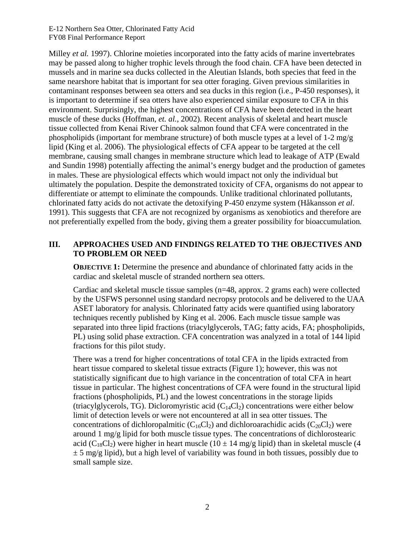E-12 Northern Sea Otter, Chlorinated Fatty Acid FY08 Final Performance Report

Milley *et al.* 1997). Chlorine moieties incorporated into the fatty acids of marine invertebrates may be passed along to higher trophic levels through the food chain. CFA have been detected in mussels and in marine sea ducks collected in the Aleutian Islands, both species that feed in the same nearshore habitat that is important for sea otter foraging. Given previous similarities in contaminant responses between sea otters and sea ducks in this region (i.e., P-450 responses), it is important to determine if sea otters have also experienced similar exposure to CFA in this environment. Surprisingly, the highest concentrations of CFA have been detected in the heart muscle of these ducks (Hoffman, *et. al.*, 2002). Recent analysis of skeletal and heart muscle tissue collected from Kenai River Chinook salmon found that CFA were concentrated in the phospholipids (important for membrane structure) of both muscle types at a level of 1-2 mg/g lipid (King et al. 2006). The physiological effects of CFA appear to be targeted at the cell membrane, causing small changes in membrane structure which lead to leakage of ATP (Ewald and Sundin 1998) potentially affecting the animal's energy budget and the production of gametes in males. These are physiological effects which would impact not only the individual but ultimately the population. Despite the demonstrated toxicity of CFA, organisms do not appear to differentiate or attempt to eliminate the compounds. Unlike traditional chlorinated pollutants, chlorinated fatty acids do not activate the detoxifying P-450 enzyme system (Håkansson *et al*. 1991). This suggests that CFA are not recognized by organisms as xenobiotics and therefore are not preferentially expelled from the body, giving them a greater possibility for bioaccumulation*.*

#### **III. APPROACHES USED AND FINDINGS RELATED TO THE OBJECTIVES AND TO PROBLEM OR NEED**

**OBJECTIVE 1:** Determine the presence and abundance of chlorinated fatty acids in the cardiac and skeletal muscle of stranded northern sea otters.

Cardiac and skeletal muscle tissue samples (n=48, approx. 2 grams each) were collected by the USFWS personnel using standard necropsy protocols and be delivered to the UAA ASET laboratory for analysis. Chlorinated fatty acids were quantified using laboratory techniques recently published by King et al. 2006. Each muscle tissue sample was separated into three lipid fractions (triacylglycerols, TAG; fatty acids, FA; phospholipids, PL) using solid phase extraction. CFA concentration was analyzed in a total of 144 lipid fractions for this pilot study.

There was a trend for higher concentrations of total CFA in the lipids extracted from heart tissue compared to skeletal tissue extracts (Figure 1); however, this was not statistically significant due to high variance in the concentration of total CFA in heart tissue in particular. The highest concentrations of CFA were found in the structural lipid fractions (phospholipids, PL) and the lowest concentrations in the storage lipids (triacylglycerols, TG). Dicloromyristic acid  $(C<sub>14</sub>Cl<sub>2</sub>)$  concentrations were either below limit of detection levels or were not encountered at all in sea otter tissues. The concentrations of dichloropalmitic  $(C_{16}Cl_2)$  and dichloroarachidic acids  $(C_{20}Cl_2)$  were around 1 mg/g lipid for both muscle tissue types. The concentrations of dichlorostearic acid (C<sub>18</sub>Cl<sub>2</sub>) were higher in heart muscle (10  $\pm$  14 mg/g lipid) than in skeletal muscle (4  $\pm$  5 mg/g lipid), but a high level of variability was found in both tissues, possibly due to small sample size.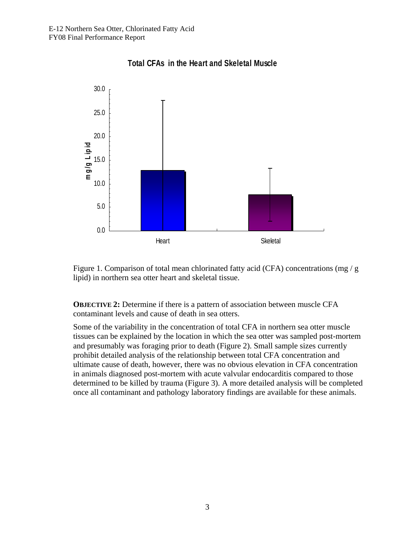

**Total CFAs in the Heart and Skeletal Muscle** 

Figure 1. Comparison of total mean chlorinated fatty acid (CFA) concentrations (mg / g lipid) in northern sea otter heart and skeletal tissue.

**OBJECTIVE 2:** Determine if there is a pattern of association between muscle CFA contaminant levels and cause of death in sea otters.

Some of the variability in the concentration of total CFA in northern sea otter muscle tissues can be explained by the location in which the sea otter was sampled post-mortem and presumably was foraging prior to death (Figure 2). Small sample sizes currently prohibit detailed analysis of the relationship between total CFA concentration and ultimate cause of death, however, there was no obvious elevation in CFA concentration in animals diagnosed post-mortem with acute valvular endocarditis compared to those determined to be killed by trauma (Figure 3). A more detailed analysis will be completed once all contaminant and pathology laboratory findings are available for these animals.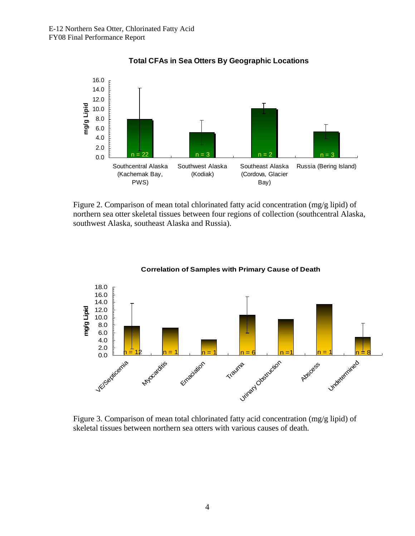

## **Total CFAs in Sea Otters By Geographic Locations**

Figure 2. Comparison of mean total chlorinated fatty acid concentration (mg/g lipid) of northern sea otter skeletal tissues between four regions of collection (southcentral Alaska, southwest Alaska, southeast Alaska and Russia).



#### **Correlation of Samples with Primary Cause of Death**

Figure 3. Comparison of mean total chlorinated fatty acid concentration (mg/g lipid) of skeletal tissues between northern sea otters with various causes of death.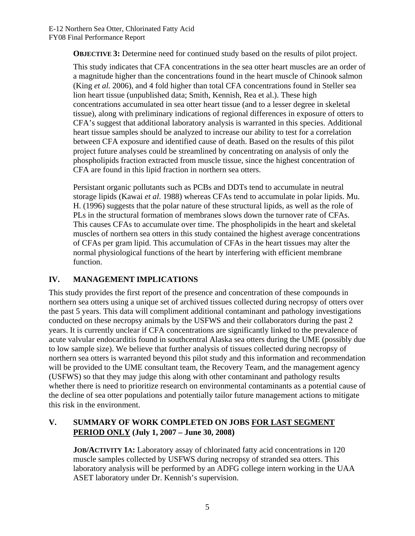**OBJECTIVE 3:** Determine need for continued study based on the results of pilot project.

This study indicates that CFA concentrations in the sea otter heart muscles are an order of a magnitude higher than the concentrations found in the heart muscle of Chinook salmon (King *et al.* 2006), and 4 fold higher than total CFA concentrations found in Steller sea lion heart tissue (unpublished data; Smith, Kennish, Rea et al.). These high concentrations accumulated in sea otter heart tissue (and to a lesser degree in skeletal tissue), along with preliminary indications of regional differences in exposure of otters to CFA's suggest that additional laboratory analysis is warranted in this species. Additional heart tissue samples should be analyzed to increase our ability to test for a correlation between CFA exposure and identified cause of death. Based on the results of this pilot project future analyses could be streamlined by concentrating on analysis of only the phospholipids fraction extracted from muscle tissue, since the highest concentration of CFA are found in this lipid fraction in northern sea otters.

Persistant organic pollutants such as PCBs and DDTs tend to accumulate in neutral storage lipids (Kawai *et al*. 1988) whereas CFAs tend to accumulate in polar lipids. Mu. H. (1996) suggests that the polar nature of these structural lipids, as well as the role of PLs in the structural formation of membranes slows down the turnover rate of CFAs. This causes CFAs to accumulate over time. The phospholipids in the heart and skeletal muscles of northern sea otters in this study contained the highest average concentrations of CFAs per gram lipid. This accumulation of CFAs in the heart tissues may alter the normal physiological functions of the heart by interfering with efficient membrane function.

# **IV. MANAGEMENT IMPLICATIONS**

This study provides the first report of the presence and concentration of these compounds in northern sea otters using a unique set of archived tissues collected during necropsy of otters over the past 5 years. This data will compliment additional contaminant and pathology investigations conducted on these necropsy animals by the USFWS and their collaborators during the past 2 years. It is currently unclear if CFA concentrations are significantly linked to the prevalence of acute valvular endocarditis found in southcentral Alaska sea otters during the UME (possibly due to low sample size). We believe that further analysis of tissues collected during necropsy of northern sea otters is warranted beyond this pilot study and this information and recommendation will be provided to the UME consultant team, the Recovery Team, and the management agency (USFWS) so that they may judge this along with other contaminant and pathology results whether there is need to prioritize research on environmental contaminants as a potential cause of the decline of sea otter populations and potentially tailor future management actions to mitigate this risk in the environment.

## **V. SUMMARY OF WORK COMPLETED ON JOBS FOR LAST SEGMENT PERIOD ONLY (July 1, 2007 – June 30, 2008)**

**JOB/ACTIVITY 1A:** Laboratory assay of chlorinated fatty acid concentrations in 120 muscle samples collected by USFWS during necropsy of stranded sea otters. This laboratory analysis will be performed by an ADFG college intern working in the UAA ASET laboratory under Dr. Kennish's supervision.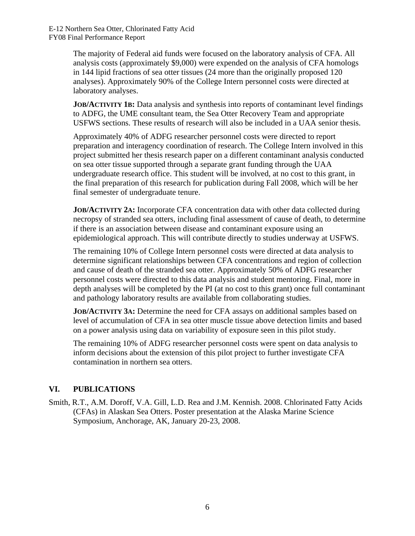E-12 Northern Sea Otter, Chlorinated Fatty Acid FY08 Final Performance Report

> The majority of Federal aid funds were focused on the laboratory analysis of CFA. All analysis costs (approximately \$9,000) were expended on the analysis of CFA homologs in 144 lipid fractions of sea otter tissues (24 more than the originally proposed 120 analyses). Approximately 90% of the College Intern personnel costs were directed at laboratory analyses.

**JOB/ACTIVITY 1B:** Data analysis and synthesis into reports of contaminant level findings to ADFG, the UME consultant team, the Sea Otter Recovery Team and appropriate USFWS sections. These results of research will also be included in a UAA senior thesis.

Approximately 40% of ADFG researcher personnel costs were directed to report preparation and interagency coordination of research. The College Intern involved in this project submitted her thesis research paper on a different contaminant analysis conducted on sea otter tissue supported through a separate grant funding through the UAA undergraduate research office. This student will be involved, at no cost to this grant, in the final preparation of this research for publication during Fall 2008, which will be her final semester of undergraduate tenure.

**JOB/ACTIVITY 2A:** Incorporate CFA concentration data with other data collected during necropsy of stranded sea otters, including final assessment of cause of death, to determine if there is an association between disease and contaminant exposure using an epidemiological approach. This will contribute directly to studies underway at USFWS.

The remaining 10% of College Intern personnel costs were directed at data analysis to determine significant relationships between CFA concentrations and region of collection and cause of death of the stranded sea otter. Approximately 50% of ADFG researcher personnel costs were directed to this data analysis and student mentoring. Final, more in depth analyses will be completed by the PI (at no cost to this grant) once full contaminant and pathology laboratory results are available from collaborating studies.

**JOB/ACTIVITY 3A:** Determine the need for CFA assays on additional samples based on level of accumulation of CFA in sea otter muscle tissue above detection limits and based on a power analysis using data on variability of exposure seen in this pilot study.

The remaining 10% of ADFG researcher personnel costs were spent on data analysis to inform decisions about the extension of this pilot project to further investigate CFA contamination in northern sea otters.

# **VI. PUBLICATIONS**

Smith, R.T., A.M. Doroff, V.A. Gill, L.D. Rea and J.M. Kennish. 2008. Chlorinated Fatty Acids (CFAs) in Alaskan Sea Otters. Poster presentation at the Alaska Marine Science Symposium, Anchorage, AK, January 20-23, 2008.